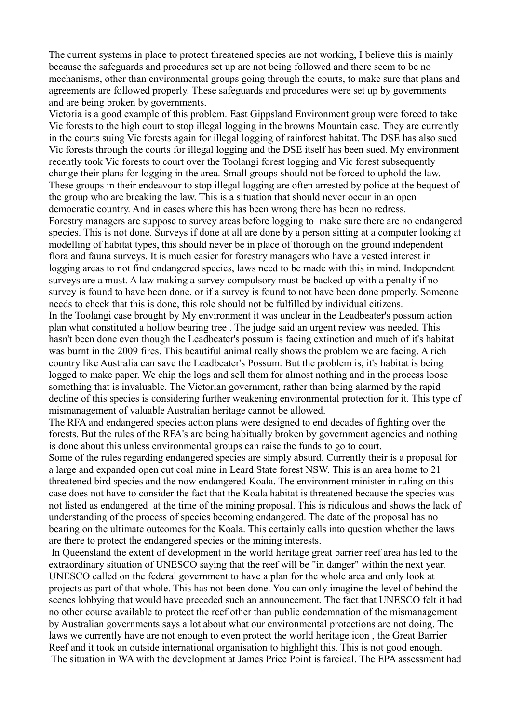The current systems in place to protect threatened species are not working, I believe this is mainly because the safeguards and procedures set up are not being followed and there seem to be no mechanisms, other than environmental groups going through the courts, to make sure that plans and agreements are followed properly. These safeguards and procedures were set up by governments and are being broken by governments.

Victoria is a good example of this problem. East Gippsland Environment group were forced to take Vic forests to the high court to stop illegal logging in the browns Mountain case. They are currently in the courts suing Vic forests again for illegal logging of rainforest habitat. The DSE has also sued Vic forests through the courts for illegal logging and the DSE itself has been sued. My environment recently took Vic forests to court over the Toolangi forest logging and Vic forest subsequently change their plans for logging in the area. Small groups should not be forced to uphold the law. These groups in their endeavour to stop illegal logging are often arrested by police at the bequest of the group who are breaking the law. This is a situation that should never occur in an open democratic country. And in cases where this has been wrong there has been no redress. Forestry managers are suppose to survey areas before logging to make sure there are no endangered species. This is not done. Surveys if done at all are done by a person sitting at a computer looking at modelling of habitat types, this should never be in place of thorough on the ground independent flora and fauna surveys. It is much easier for forestry managers who have a vested interest in logging areas to not find endangered species, laws need to be made with this in mind. Independent surveys are a must. A law making a survey compulsory must be backed up with a penalty if no survey is found to have been done, or if a survey is found to not have been done properly. Someone needs to check that this is done, this role should not be fulfilled by individual citizens. In the Toolangi case brought by My environment it was unclear in the Leadbeater's possum action plan what constituted a hollow bearing tree . The judge said an urgent review was needed. This hasn't been done even though the Leadbeater's possum is facing extinction and much of it's habitat was burnt in the 2009 fires. This beautiful animal really shows the problem we are facing. A rich country like Australia can save the Leadbeater's Possum. But the problem is, it's habitat is being logged to make paper. We chip the logs and sell them for almost nothing and in the process loose something that is invaluable. The Victorian government, rather than being alarmed by the rapid

decline of this species is considering further weakening environmental protection for it. This type of mismanagement of valuable Australian heritage cannot be allowed.

The RFA and endangered species action plans were designed to end decades of fighting over the forests. But the rules of the RFA's are being habitually broken by government agencies and nothing is done about this unless environmental groups can raise the funds to go to court.

Some of the rules regarding endangered species are simply absurd. Currently their is a proposal for a large and expanded open cut coal mine in Leard State forest NSW. This is an area home to 21 threatened bird species and the now endangered Koala. The environment minister in ruling on this case does not have to consider the fact that the Koala habitat is threatened because the species was not listed as endangered at the time of the mining proposal. This is ridiculous and shows the lack of understanding of the process of species becoming endangered. The date of the proposal has no bearing on the ultimate outcomes for the Koala. This certainly calls into question whether the laws are there to protect the endangered species or the mining interests.

 In Queensland the extent of development in the world heritage great barrier reef area has led to the extraordinary situation of UNESCO saying that the reef will be "in danger" within the next year. UNESCO called on the federal government to have a plan for the whole area and only look at projects as part of that whole. This has not been done. You can only imagine the level of behind the scenes lobbying that would have preceded such an announcement. The fact that UNESCO felt it had no other course available to protect the reef other than public condemnation of the mismanagement by Australian governments says a lot about what our environmental protections are not doing. The laws we currently have are not enough to even protect the world heritage icon , the Great Barrier Reef and it took an outside international organisation to highlight this. This is not good enough. The situation in WA with the development at James Price Point is farcical. The EPA assessment had